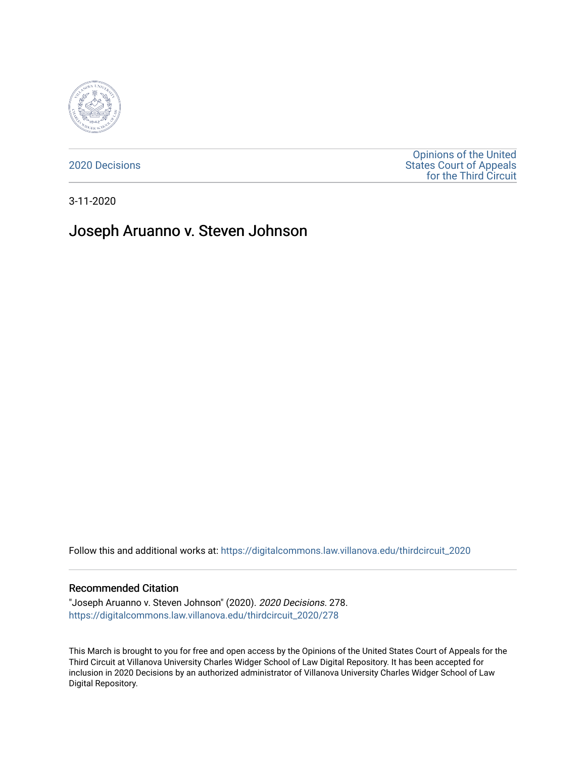

[2020 Decisions](https://digitalcommons.law.villanova.edu/thirdcircuit_2020)

[Opinions of the United](https://digitalcommons.law.villanova.edu/thirdcircuit)  [States Court of Appeals](https://digitalcommons.law.villanova.edu/thirdcircuit)  [for the Third Circuit](https://digitalcommons.law.villanova.edu/thirdcircuit) 

3-11-2020

# Joseph Aruanno v. Steven Johnson

Follow this and additional works at: [https://digitalcommons.law.villanova.edu/thirdcircuit\\_2020](https://digitalcommons.law.villanova.edu/thirdcircuit_2020?utm_source=digitalcommons.law.villanova.edu%2Fthirdcircuit_2020%2F278&utm_medium=PDF&utm_campaign=PDFCoverPages) 

### Recommended Citation

"Joseph Aruanno v. Steven Johnson" (2020). 2020 Decisions. 278. [https://digitalcommons.law.villanova.edu/thirdcircuit\\_2020/278](https://digitalcommons.law.villanova.edu/thirdcircuit_2020/278?utm_source=digitalcommons.law.villanova.edu%2Fthirdcircuit_2020%2F278&utm_medium=PDF&utm_campaign=PDFCoverPages)

This March is brought to you for free and open access by the Opinions of the United States Court of Appeals for the Third Circuit at Villanova University Charles Widger School of Law Digital Repository. It has been accepted for inclusion in 2020 Decisions by an authorized administrator of Villanova University Charles Widger School of Law Digital Repository.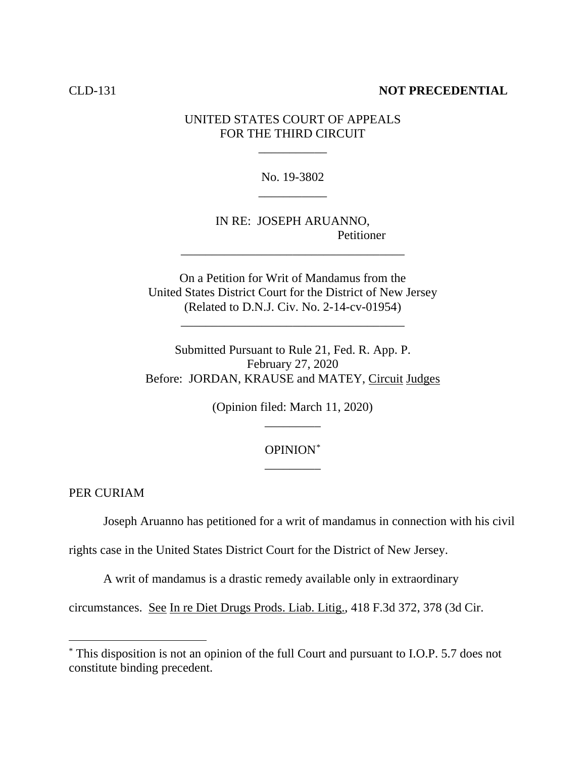### CLD-131 **NOT PRECEDENTIAL**

## UNITED STATES COURT OF APPEALS FOR THE THIRD CIRCUIT

\_\_\_\_\_\_\_\_\_\_\_

No. 19-3802 \_\_\_\_\_\_\_\_\_\_\_

IN RE: JOSEPH ARUANNO, Petitioner

On a Petition for Writ of Mandamus from the United States District Court for the District of New Jersey (Related to D.N.J. Civ. No. 2-14-cv-01954)

\_\_\_\_\_\_\_\_\_\_\_\_\_\_\_\_\_\_\_\_\_\_\_\_\_\_\_\_\_\_\_\_\_\_\_\_

\_\_\_\_\_\_\_\_\_\_\_\_\_\_\_\_\_\_\_\_\_\_\_\_\_\_\_\_\_\_\_\_\_\_\_\_

Submitted Pursuant to Rule 21, Fed. R. App. P. February 27, 2020 Before: JORDAN, KRAUSE and MATEY, Circuit Judges

> (Opinion filed: March 11, 2020) \_\_\_\_\_\_\_\_\_

## OPINION\* \_\_\_\_\_\_\_\_\_

PER CURIAM

Joseph Aruanno has petitioned for a writ of mandamus in connection with his civil

rights case in the United States District Court for the District of New Jersey.

A writ of mandamus is a drastic remedy available only in extraordinary

circumstances. See In re Diet Drugs Prods. Liab. Litig., 418 F.3d 372, 378 (3d Cir.

<sup>\*</sup> This disposition is not an opinion of the full Court and pursuant to I.O.P. 5.7 does not constitute binding precedent.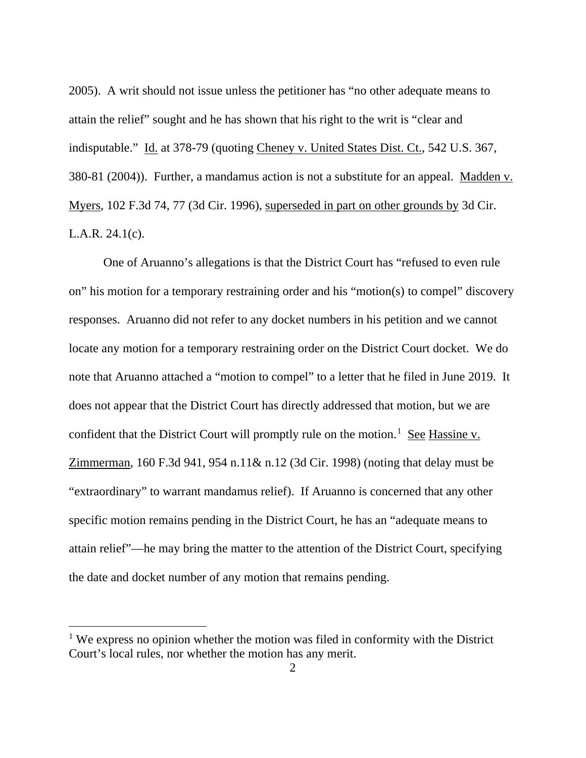2005). A writ should not issue unless the petitioner has "no other adequate means to attain the relief" sought and he has shown that his right to the writ is "clear and indisputable." Id. at 378-79 (quoting Cheney v. United States Dist. Ct., 542 U.S. 367, 380-81 (2004)). Further, a mandamus action is not a substitute for an appeal. Madden v. Myers, 102 F.3d 74, 77 (3d Cir. 1996), superseded in part on other grounds by 3d Cir. L.A.R. 24.1(c).

One of Aruanno's allegations is that the District Court has "refused to even rule on" his motion for a temporary restraining order and his "motion(s) to compel" discovery responses. Aruanno did not refer to any docket numbers in his petition and we cannot locate any motion for a temporary restraining order on the District Court docket. We do note that Aruanno attached a "motion to compel" to a letter that he filed in June 2019. It does not appear that the District Court has directly addressed that motion, but we are confident that the District Court will promptly rule on the motion.<sup>1</sup> See Hassine v. Zimmerman, 160 F.3d 941, 954 n.11& n.12 (3d Cir. 1998) (noting that delay must be "extraordinary" to warrant mandamus relief). If Aruanno is concerned that any other specific motion remains pending in the District Court, he has an "adequate means to attain relief"—he may bring the matter to the attention of the District Court, specifying the date and docket number of any motion that remains pending.

 $<sup>1</sup>$  We express no opinion whether the motion was filed in conformity with the District</sup> Court's local rules, nor whether the motion has any merit.